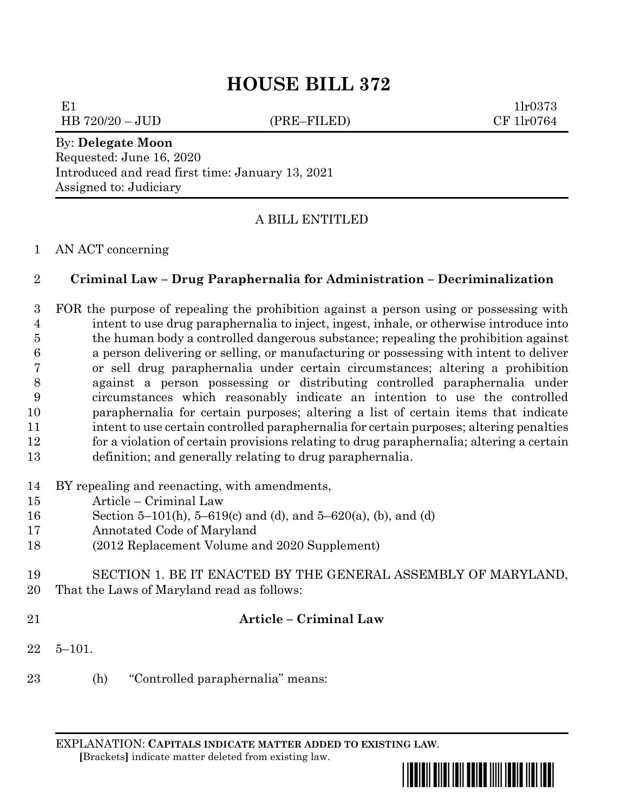## **HOUSE BILL 372**

E1  $1\text{lr}0373$ 

HB 720/20 – JUD (PRE–FILED) CF 1lr0764

# By: **Delegate Moon**

Requested: June 16, 2020 Introduced and read first time: January 13, 2021 Assigned to: Judiciary

## A BILL ENTITLED

#### AN ACT concerning

## **Criminal Law – Drug Paraphernalia for Administration – Decriminalization**

 FOR the purpose of repealing the prohibition against a person using or possessing with intent to use drug paraphernalia to inject, ingest, inhale, or otherwise introduce into the human body a controlled dangerous substance; repealing the prohibition against a person delivering or selling, or manufacturing or possessing with intent to deliver or sell drug paraphernalia under certain circumstances; altering a prohibition against a person possessing or distributing controlled paraphernalia under circumstances which reasonably indicate an intention to use the controlled paraphernalia for certain purposes; altering a list of certain items that indicate intent to use certain controlled paraphernalia for certain purposes; altering penalties for a violation of certain provisions relating to drug paraphernalia; altering a certain definition; and generally relating to drug paraphernalia.

- BY repealing and reenacting, with amendments,
- Article Criminal Law
- Section 5–101(h), 5–619(c) and (d), and 5–620(a), (b), and (d)
- Annotated Code of Maryland
- (2012 Replacement Volume and 2020 Supplement)
- SECTION 1. BE IT ENACTED BY THE GENERAL ASSEMBLY OF MARYLAND, That the Laws of Maryland read as follows:
- 

## **Article – Criminal Law**

- 5–101.
- (h) "Controlled paraphernalia" means:

EXPLANATION: **CAPITALS INDICATE MATTER ADDED TO EXISTING LAW**.  **[**Brackets**]** indicate matter deleted from existing law.

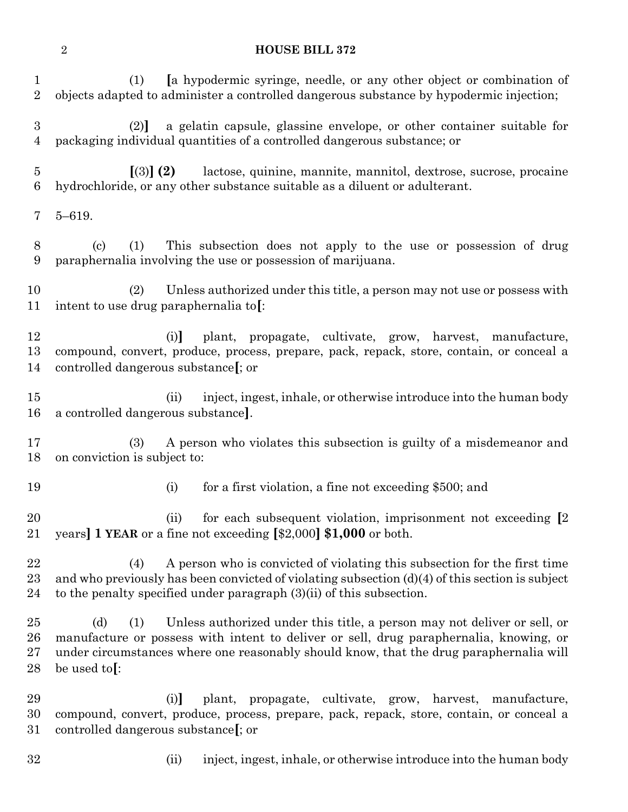#### **HOUSE BILL 372**

| 1<br>$\overline{2}$              | a hypodermic syringe, needle, or any other object or combination of<br>(1)<br>objects adapted to administer a controlled dangerous substance by hypodermic injection;                                                                                                                      |  |  |  |  |
|----------------------------------|--------------------------------------------------------------------------------------------------------------------------------------------------------------------------------------------------------------------------------------------------------------------------------------------|--|--|--|--|
| $\boldsymbol{3}$<br>4            | a gelatin capsule, glassine envelope, or other container suitable for<br>(2)<br>packaging individual quantities of a controlled dangerous substance; or                                                                                                                                    |  |  |  |  |
| 5<br>6                           | $(3)$ (2)<br>lactose, quinine, mannite, mannitol, dextrose, sucrose, procaine<br>hydrochloride, or any other substance suitable as a diluent or adulterant.                                                                                                                                |  |  |  |  |
| 7                                | $5 - 619.$                                                                                                                                                                                                                                                                                 |  |  |  |  |
| 8<br>9                           | (1)<br>This subsection does not apply to the use or possession of drug<br>$\left( \mathrm{c}\right)$<br>paraphernalia involving the use or possession of marijuana.                                                                                                                        |  |  |  |  |
| 10<br>11                         | Unless authorized under this title, a person may not use or possess with<br>(2)<br>intent to use drug paraphernalia to.                                                                                                                                                                    |  |  |  |  |
| 12<br>13<br>14                   | plant, propagate, cultivate, grow, harvest, manufacture,<br>(i)<br>compound, convert, produce, process, prepare, pack, repack, store, contain, or conceal a<br>controlled dangerous substance [; or                                                                                        |  |  |  |  |
| $15\,$<br>16                     | inject, ingest, inhale, or otherwise introduce into the human body<br>(ii)<br>a controlled dangerous substance.                                                                                                                                                                            |  |  |  |  |
| 17<br>18                         | A person who violates this subsection is guilty of a misdemean or and<br>(3)<br>on conviction is subject to:                                                                                                                                                                               |  |  |  |  |
| 19                               | (i)<br>for a first violation, a fine not exceeding \$500; and                                                                                                                                                                                                                              |  |  |  |  |
| 20<br>21                         | for each subsequent violation, imprisonment not exceeding [2]<br>(ii)<br>years] 1 YEAR or a fine not exceeding [\$2,000] \$1,000 or both.                                                                                                                                                  |  |  |  |  |
| 22<br>$^{23}$<br>24              | A person who is convicted of violating this subsection for the first time<br>(4)<br>and who previously has been convicted of violating subsection $(d)(4)$ of this section is subject<br>to the penalty specified under paragraph $(3)(ii)$ of this subsection.                            |  |  |  |  |
| $25\,$<br>$26\,$<br>$27\,$<br>28 | Unless authorized under this title, a person may not deliver or sell, or<br>(d)<br>(1)<br>manufacture or possess with intent to deliver or sell, drug paraphernalia, knowing, or<br>under circumstances where one reasonably should know, that the drug paraphernalia will<br>be used to.: |  |  |  |  |
| 29<br>30<br>31                   | plant, propagate, cultivate, grow, harvest, manufacture,<br>(i)<br>compound, convert, produce, process, prepare, pack, repack, store, contain, or conceal a<br>controlled dangerous substance [; or                                                                                        |  |  |  |  |

- 
- 
- (ii) inject, ingest, inhale, or otherwise introduce into the human body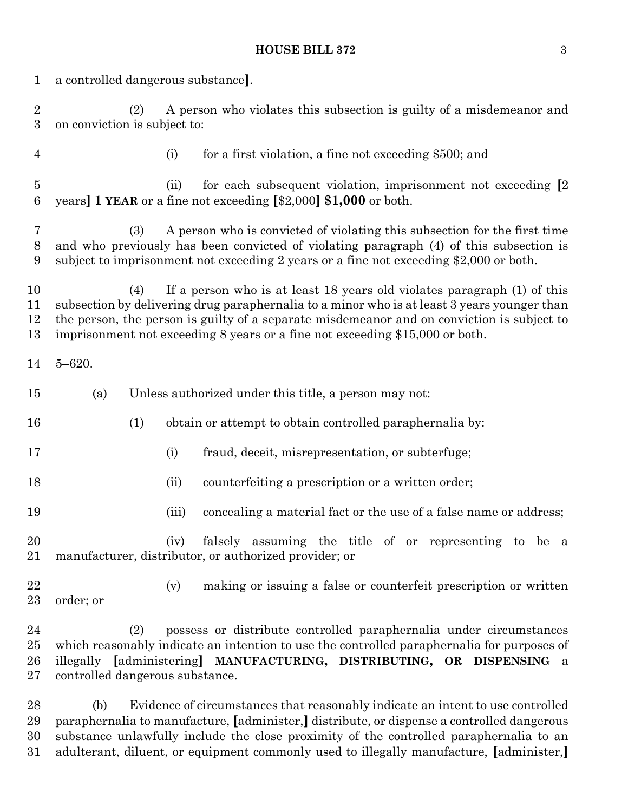#### **HOUSE BILL 372** 3

| $\mathbf{1}$                       | a controlled dangerous substance.                                                                                                                                                                                                                                                                                                                           |                                                                                                                                                                                                                                            |  |  |  |  |
|------------------------------------|-------------------------------------------------------------------------------------------------------------------------------------------------------------------------------------------------------------------------------------------------------------------------------------------------------------------------------------------------------------|--------------------------------------------------------------------------------------------------------------------------------------------------------------------------------------------------------------------------------------------|--|--|--|--|
| $\overline{2}$<br>$\boldsymbol{3}$ | A person who violates this subsection is guilty of a misdemeanor and<br>(2)<br>on conviction is subject to:                                                                                                                                                                                                                                                 |                                                                                                                                                                                                                                            |  |  |  |  |
| $\overline{4}$                     |                                                                                                                                                                                                                                                                                                                                                             | (i)<br>for a first violation, a fine not exceeding \$500; and                                                                                                                                                                              |  |  |  |  |
| $\bf 5$<br>6                       |                                                                                                                                                                                                                                                                                                                                                             | for each subsequent violation, imprisonment not exceeding [2]<br>(ii)<br>years] 1 YEAR or a fine not exceeding [\$2,000] \$1,000 or both.                                                                                                  |  |  |  |  |
| 7<br>$8\,$<br>9                    | A person who is convicted of violating this subsection for the first time<br>(3)<br>and who previously has been convicted of violating paragraph (4) of this subsection is<br>subject to imprisonment not exceeding 2 years or a fine not exceeding \$2,000 or both.                                                                                        |                                                                                                                                                                                                                                            |  |  |  |  |
| 10<br>11<br>12<br>13               | If a person who is at least 18 years old violates paragraph (1) of this<br>(4)<br>subsection by delivering drug paraphernalia to a minor who is at least 3 years younger than<br>the person, the person is guilty of a separate misdemeanor and on conviction is subject to<br>imprisonment not exceeding 8 years or a fine not exceeding \$15,000 or both. |                                                                                                                                                                                                                                            |  |  |  |  |
| 14                                 | $5 - 620.$                                                                                                                                                                                                                                                                                                                                                  |                                                                                                                                                                                                                                            |  |  |  |  |
| 15                                 | (a)                                                                                                                                                                                                                                                                                                                                                         | Unless authorized under this title, a person may not:                                                                                                                                                                                      |  |  |  |  |
| 16                                 | (1)                                                                                                                                                                                                                                                                                                                                                         | obtain or attempt to obtain controlled paraphernalia by:                                                                                                                                                                                   |  |  |  |  |
| 17                                 |                                                                                                                                                                                                                                                                                                                                                             | fraud, deceit, misrepresentation, or subterfuge;<br>(i)                                                                                                                                                                                    |  |  |  |  |
| 18                                 |                                                                                                                                                                                                                                                                                                                                                             | counterfeiting a prescription or a written order;<br>(ii)                                                                                                                                                                                  |  |  |  |  |
| 19                                 |                                                                                                                                                                                                                                                                                                                                                             | concealing a material fact or the use of a false name or address;<br>(iii)                                                                                                                                                                 |  |  |  |  |
| 20<br>21                           |                                                                                                                                                                                                                                                                                                                                                             | falsely assuming the title of or representing to be a<br>(iv)<br>manufacturer, distributor, or authorized provider; or                                                                                                                     |  |  |  |  |
| 22<br>23                           | order; or                                                                                                                                                                                                                                                                                                                                                   | making or issuing a false or counterfeit prescription or written<br>(v)                                                                                                                                                                    |  |  |  |  |
| 24<br>25<br>26<br>27               | (2)<br>controlled dangerous substance.                                                                                                                                                                                                                                                                                                                      | possess or distribute controlled paraphernalia under circumstances<br>which reasonably indicate an intention to use the controlled paraphernalia for purposes of<br>illegally [administering] MANUFACTURING, DISTRIBUTING, OR DISPENSING a |  |  |  |  |

 (b) Evidence of circumstances that reasonably indicate an intent to use controlled paraphernalia to manufacture, **[**administer,**]** distribute, or dispense a controlled dangerous substance unlawfully include the close proximity of the controlled paraphernalia to an adulterant, diluent, or equipment commonly used to illegally manufacture, **[**administer,**]**